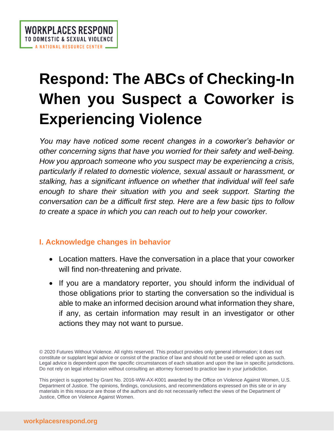# **Respond: The ABCs of Checking-In When you Suspect a Coworker is Experiencing Violence**

*You may have noticed some recent changes in a coworker's behavior or other concerning signs that have you worried for their safety and well-being. How you approach someone who you suspect may be experiencing a crisis, particularly if related to domestic violence, sexual assault or harassment, or stalking, has a significant influence on whether that individual will feel safe enough to share their situation with you and seek support. Starting the conversation can be a difficult first step. Here are a few basic tips to follow to create a space in which you can reach out to help your coworker.*

# **I. Acknowledge changes in behavior**

- Location matters. Have the conversation in a place that your coworker will find non-threatening and private.
- If you are a mandatory reporter, you should inform the individual of those obligations prior to starting the conversation so the individual is able to make an informed decision around what information they share, if any, as certain information may result in an investigator or other actions they may not want to pursue.

<sup>© 2020</sup> Futures Without Violence. All rights reserved. This product provides only general information; it does not constitute or supplant legal advice or consist of the practice of law and should not be used or relied upon as such. Legal advice is dependent upon the specific circumstances of each situation and upon the law in specific jurisdictions. Do not rely on legal information without consulting an attorney licensed to practice law in your jurisdiction.

This project is supported by Grant No. 2016-WW-AX-K001 awarded by the Office on Violence Against Women, U.S. Department of Justice. The opinions, findings, conclusions, and recommendations expressed on this site or in any materials in this resource are those of the authors and do not necessarily reflect the views of the Department of Justice, Office on Violence Against Women.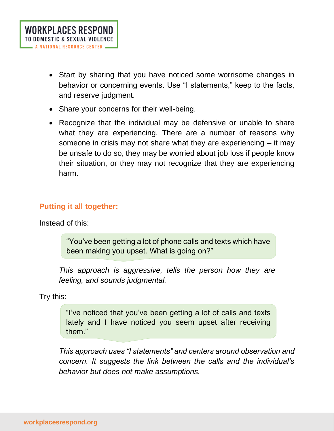- Start by sharing that you have noticed some worrisome changes in behavior or concerning events. Use "I statements," keep to the facts, and reserve judgment.
- Share your concerns for their well-being.
- Recognize that the individual may be defensive or unable to share what they are experiencing. There are a number of reasons why someone in crisis may not share what they are experiencing – it may be unsafe to do so, they may be worried about job loss if people know their situation, or they may not recognize that they are experiencing harm.

## **Putting it all together:**

Instead of this:

"You've been getting a lot of phone calls and texts which have been making you upset. What is going on?"

*This approach is aggressive, tells the person how they are feeling, and sounds judgmental.*

Try this:

"I've noticed that you've been getting a lot of calls and texts lately and I have noticed you seem upset after receiving them."

*This approach uses "I statements" and centers around observation and concern. It suggests the link between the calls and the individual's behavior but does not make assumptions.*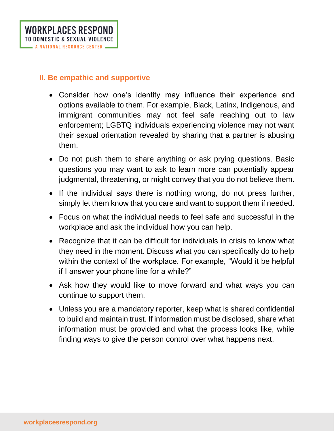#### **II. Be empathic and supportive**

- Consider how one's identity may influence their experience and options available to them. For example, Black, Latinx, Indigenous, and immigrant communities may not feel safe reaching out to law enforcement; LGBTQ individuals experiencing violence may not want their sexual orientation revealed by sharing that a partner is abusing them.
- Do not push them to share anything or ask prying questions. Basic questions you may want to ask to learn more can potentially appear judgmental, threatening, or might convey that you do not believe them.
- If the individual says there is nothing wrong, do not press further, simply let them know that you care and want to support them if needed.
- Focus on what the individual needs to feel safe and successful in the workplace and ask the individual how you can help.
- Recognize that it can be difficult for individuals in crisis to know what they need in the moment. Discuss what you can specifically do to help within the context of the workplace. For example, "Would it be helpful if I answer your phone line for a while?"
- Ask how they would like to move forward and what ways you can continue to support them.
- Unless you are a mandatory reporter, keep what is shared confidential to build and maintain trust. If information must be disclosed, share what information must be provided and what the process looks like, while finding ways to give the person control over what happens next.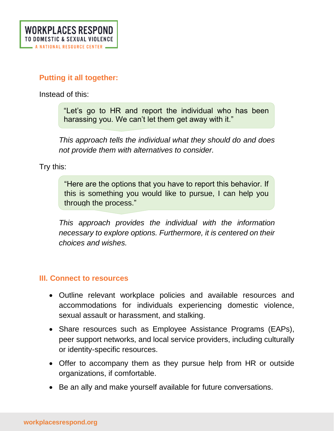## **Putting it all together:**

Instead of this:

"Let's go to HR and report the individual who has been harassing you. We can't let them get away with it."

*This approach tells the individual what they should do and does not provide them with alternatives to consider.*

Try this:

"Here are the options that you have to report this behavior. If this is something you would like to pursue, I can help you through the process."

*This approach provides the individual with the information necessary to explore options. Furthermore, it is centered on their choices and wishes.*

### **III. Connect to resources**

- Outline relevant workplace policies and available resources and accommodations for individuals experiencing domestic violence, sexual assault or harassment, and stalking.
- Share resources such as Employee Assistance Programs (EAPs), peer support networks, and local service providers, including culturally or identity-specific resources.
- Offer to accompany them as they pursue help from HR or outside organizations, if comfortable.
- Be an ally and make yourself available for future conversations.